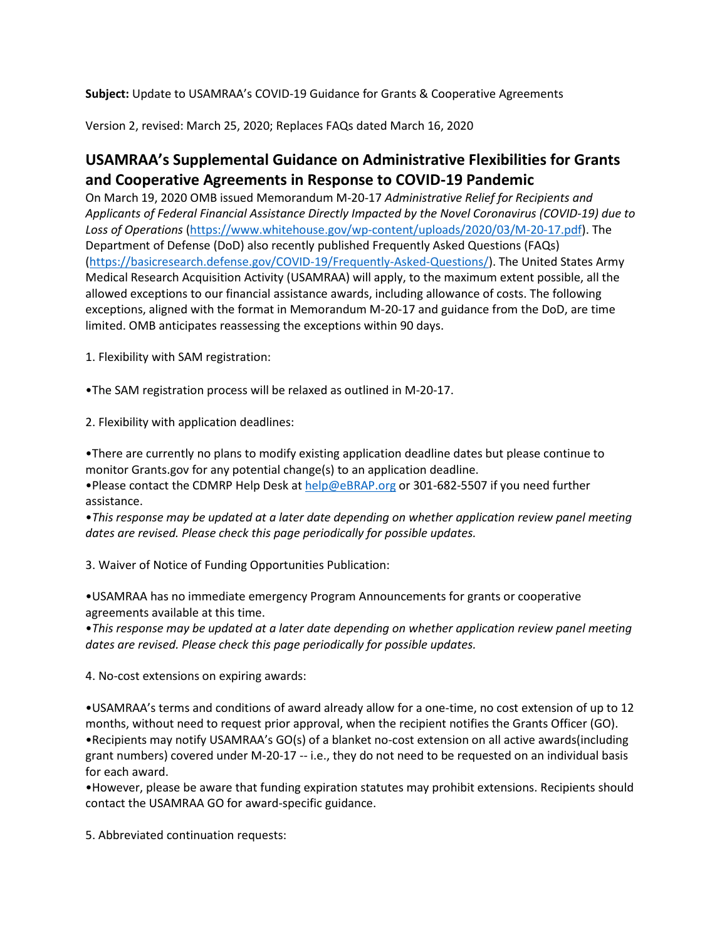**Subject:** Update to USAMRAA's COVID-19 Guidance for Grants & Cooperative Agreements

Version 2, revised: March 25, 2020; Replaces FAQs dated March 16, 2020

## **USAMRAA's Supplemental Guidance on Administrative Flexibilities for Grants and Cooperative Agreements in Response to COVID-19 Pandemic**

On March 19, 2020 OMB issued Memorandum M-20-17 *Administrative Relief for Recipients and Applicants of Federal Financial Assistance Directly Impacted by the Novel Coronavirus (COVID-19) due to Loss of Operations* [\(https://www.whitehouse.gov/wp-content/uploads/2020/03/M-20-17.pdf\)](https://nam01.safelinks.protection.outlook.com/?url=https%3A%2F%2Fwww.whitehouse.gov%2Fwp-content%2Fuploads%2F2020%2F03%2FM-20-17.pdf&data=02%7C01%7CSheila.Selby%40umassmed.edu%7Cd4f3585e78ba4841a9c508d7d25a0d39%7Cee9155fe2da34378a6c44405faf57b2e%7C0%7C0%7C637209156515156110&sdata=XaojCa%2BbtX%2Fa7tc6ujItx%2FkF3rhy44%2BSn%2BNyROjsJlA%3D&reserved=0). The Department of Defense (DoD) also recently published Frequently Asked Questions (FAQs) [\(https://basicresearch.defense.gov/COVID-19/Frequently-Asked-Questions/\)](https://nam01.safelinks.protection.outlook.com/?url=https%3A%2F%2Fbasicresearch.defense.gov%2FCOVID-19%2FFrequently-Asked-Questions%2F&data=02%7C01%7CSheila.Selby%40umassmed.edu%7Cd4f3585e78ba4841a9c508d7d25a0d39%7Cee9155fe2da34378a6c44405faf57b2e%7C0%7C0%7C637209156515156110&sdata=fPCATKBHv7bsK3fnojjjxIXr1nc62Td%2BJNY4Nm5F3XA%3D&reserved=0). The United States Army Medical Research Acquisition Activity (USAMRAA) will apply, to the maximum extent possible, all the allowed exceptions to our financial assistance awards, including allowance of costs. The following exceptions, aligned with the format in Memorandum M-20-17 and guidance from the DoD, are time limited. OMB anticipates reassessing the exceptions within 90 days.

1. Flexibility with SAM registration:

•The SAM registration process will be relaxed as outlined in M-20-17.

2. Flexibility with application deadlines:

•There are currently no plans to modify existing application deadline dates but please continue to monitor Grants.gov for any potential change(s) to an application deadline.

•Please contact the CDMRP Help Desk at [help@eBRAP.org](mailto:help@eBRAP.org) or 301-682-5507 if you need further assistance.

•*This response may be updated at a later date depending on whether application review panel meeting dates are revised. Please check this page periodically for possible updates.*

3. Waiver of Notice of Funding Opportunities Publication:

•USAMRAA has no immediate emergency Program Announcements for grants or cooperative agreements available at this time.

•*This response may be updated at a later date depending on whether application review panel meeting dates are revised. Please check this page periodically for possible updates.*

4. No-cost extensions on expiring awards:

•USAMRAA's terms and conditions of award already allow for a one-time, no cost extension of up to 12 months, without need to request prior approval, when the recipient notifies the Grants Officer (GO). •Recipients may notify USAMRAA's GO(s) of a blanket no-cost extension on all active awards(including grant numbers) covered under M-20-17 -- i.e., they do not need to be requested on an individual basis for each award.

•However, please be aware that funding expiration statutes may prohibit extensions. Recipients should contact the USAMRAA GO for award-specific guidance.

5. Abbreviated continuation requests: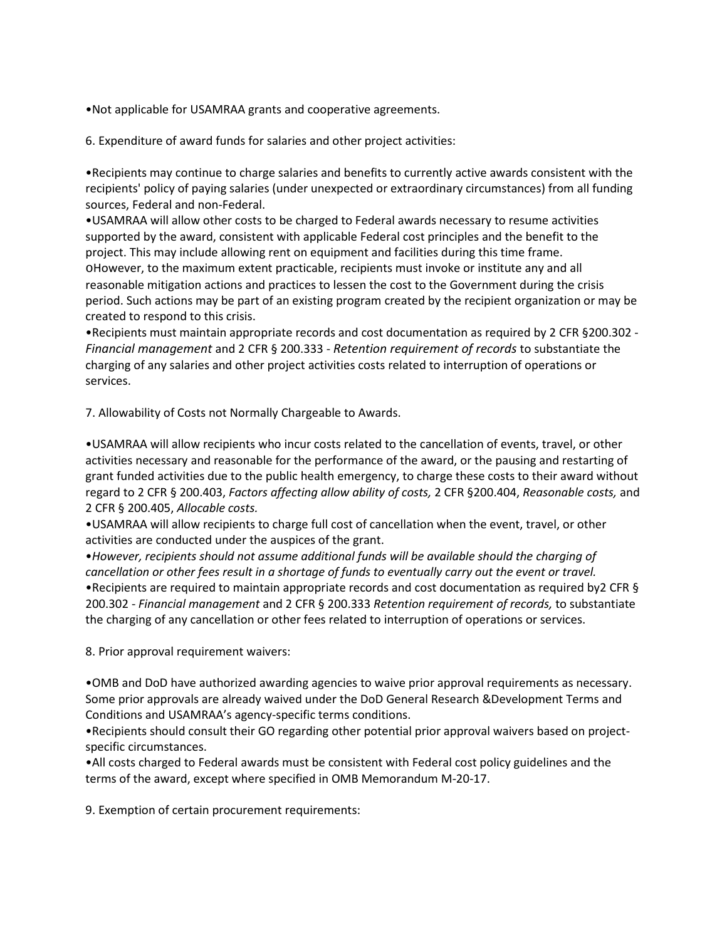•Not applicable for USAMRAA grants and cooperative agreements.

6. Expenditure of award funds for salaries and other project activities:

•Recipients may continue to charge salaries and benefits to currently active awards consistent with the recipients' policy of paying salaries (under unexpected or extraordinary circumstances) from all funding sources, Federal and non-Federal.

•USAMRAA will allow other costs to be charged to Federal awards necessary to resume activities supported by the award, consistent with applicable Federal cost principles and the benefit to the project. This may include allowing rent on equipment and facilities during this time frame. oHowever, to the maximum extent practicable, recipients must invoke or institute any and all reasonable mitigation actions and practices to lessen the cost to the Government during the crisis period. Such actions may be part of an existing program created by the recipient organization or may be created to respond to this crisis.

•Recipients must maintain appropriate records and cost documentation as required by 2 CFR §200.302 - *Financial management* and 2 CFR § 200.333 - *Retention requirement of records* to substantiate the charging of any salaries and other project activities costs related to interruption of operations or services.

7. Allowability of Costs not Normally Chargeable to Awards.

•USAMRAA will allow recipients who incur costs related to the cancellation of events, travel, or other activities necessary and reasonable for the performance of the award, or the pausing and restarting of grant funded activities due to the public health emergency, to charge these costs to their award without regard to 2 CFR § 200.403, *Factors affecting allow ability of costs,* 2 CFR §200.404, *Reasonable costs,* and 2 CFR § 200.405, *Allocable costs.*

•USAMRAA will allow recipients to charge full cost of cancellation when the event, travel, or other activities are conducted under the auspices of the grant.

•*However, recipients should not assume additional funds will be available should the charging of cancellation or other fees result in a shortage of funds to eventually carry out the event or travel.* •Recipients are required to maintain appropriate records and cost documentation as required by2 CFR § 200.302 - *Financial management* and 2 CFR § 200.333 *Retention requirement of records,* to substantiate the charging of any cancellation or other fees related to interruption of operations or services.

8. Prior approval requirement waivers:

•OMB and DoD have authorized awarding agencies to waive prior approval requirements as necessary. Some prior approvals are already waived under the DoD General Research &Development Terms and Conditions and USAMRAA's agency-specific terms conditions.

•Recipients should consult their GO regarding other potential prior approval waivers based on projectspecific circumstances.

•All costs charged to Federal awards must be consistent with Federal cost policy guidelines and the terms of the award, except where specified in OMB Memorandum M-20-17.

9. Exemption of certain procurement requirements: